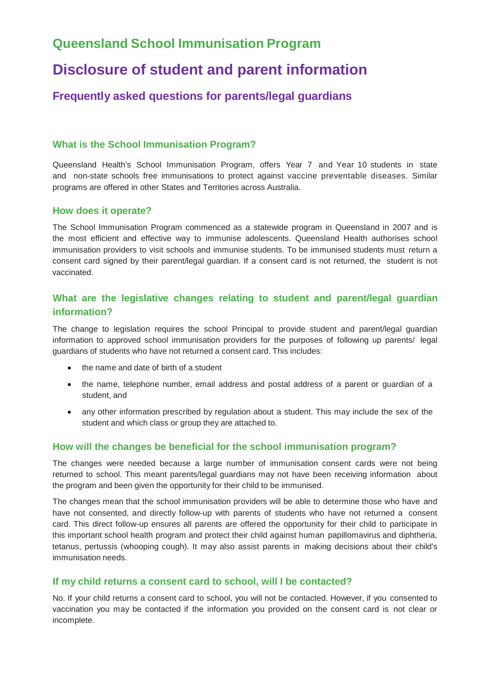## **Queensland School Immunisation Program**

# **Disclosure of student and parent information**

### **Frequently asked questions for parents/legal guardians**

#### **What is the School Immunisation Program?**

Queensland Health's School Immunisation Program, offers Year 7 and Year 10 students in state and non-state schools free immunisations to protect against vaccine preventable diseases. Similar programs are offered in other States and Territories across Australia.

#### **How does it operate?**

The School Immunisation Program commenced as a statewide program in Queensland in 2007 and is the most efficient and effective way to immunise adolescents. Queensland Health authorises school immunisation providers to visit schools and immunise students. To be immunised students must return a consent card signed by their parent/legal guardian. If a consent card is not returned, the student is not vaccinated.

#### **What are the legislative changes relating to student and parent/legal guardian information?**

The change to legislation requires the school Principal to provide student and parent/legal guardian information to approved school immunisation providers for the purposes of following up parents/ legal guardians of students who have not returned a consent card. This includes:

- the name and date of birth of a student
- the name, telephone number, email address and postal address of a parent or guardian of a student, and
- any other information prescribed by regulation about a student. This may include the sex of the student and which class or group they are attached to.

#### **How will the changes be beneficial for the school immunisation program?**

The changes were needed because a large number of immunisation consent cards were not being returned to school. This meant parents/legal guardians may not have been receiving information about the program and been given the opportunity for their child to be immunised.

The changes mean that the school immunisation providers will be able to determine those who have and have not consented, and directly follow-up with parents of students who have not returned a consent card. This direct follow-up ensures all parents are offered the opportunity for their child to participate in this important school health program and protect their child against human papillomavirus and diphtheria, tetanus, pertussis (whooping cough). It may also assist parents in making decisions about their child's immunisation needs.

#### **If my child returns a consent card to school, will I be contacted?**

No. If your child returns a consent card to school, you will not be contacted. However, if you consented to vaccination you may be contacted if the information you provided on the consent card is not clear or incomplete.